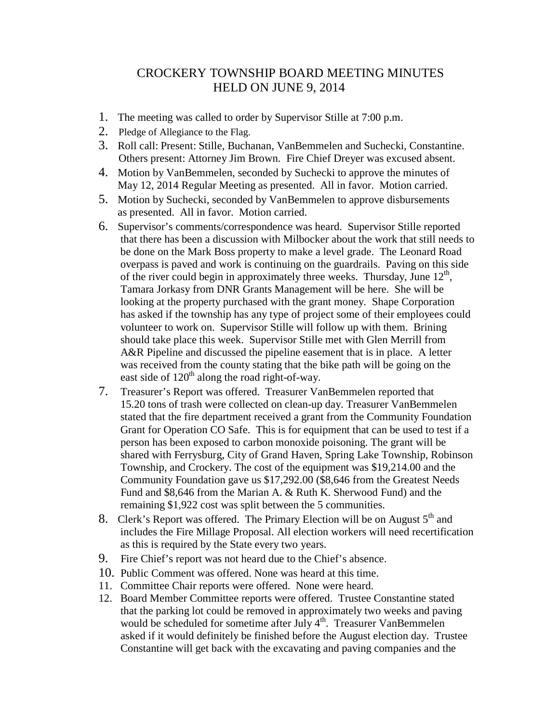## CROCKERY TOWNSHIP BOARD MEETING MINUTES HELD ON JUNE 9, 2014

- 1. The meeting was called to order by Supervisor Stille at 7:00 p.m.
- 2. Pledge of Allegiance to the Flag.
- 3. Roll call: Present: Stille, Buchanan, VanBemmelen and Suchecki, Constantine. Others present: Attorney Jim Brown. Fire Chief Dreyer was excused absent.
- 4. Motion by VanBemmelen, seconded by Suchecki to approve the minutes of May 12, 2014 Regular Meeting as presented. All in favor. Motion carried.
- 5. Motion by Suchecki, seconded by VanBemmelen to approve disbursements as presented. All in favor. Motion carried.
- 6. Supervisor's comments/correspondence was heard. Supervisor Stille reported that there has been a discussion with Milbocker about the work that still needs to be done on the Mark Boss property to make a level grade. The Leonard Road overpass is paved and work is continuing on the guardrails. Paving on this side of the river could begin in approximately three weeks. Thursday, June  $12<sup>th</sup>$ , Tamara Jorkasy from DNR Grants Management will be here. She will be looking at the property purchased with the grant money. Shape Corporation has asked if the township has any type of project some of their employees could volunteer to work on. Supervisor Stille will follow up with them. Brining should take place this week. Supervisor Stille met with Glen Merrill from A&R Pipeline and discussed the pipeline easement that is in place. A letter was received from the county stating that the bike path will be going on the east side of  $120<sup>th</sup>$  along the road right-of-way.
- 7. Treasurer's Report was offered. Treasurer VanBemmelen reported that 15.20 tons of trash were collected on clean-up day. Treasurer VanBemmelen stated that the fire department received a grant from the Community Foundation Grant for Operation CO Safe. This is for equipment that can be used to test if a person has been exposed to carbon monoxide poisoning. The grant will be shared with Ferrysburg, City of Grand Haven, Spring Lake Township, Robinson Township, and Crockery. The cost of the equipment was \$19,214.00 and the Community Foundation gave us \$17,292.00 (\$8,646 from the Greatest Needs Fund and \$8,646 from the Marian A. & Ruth K. Sherwood Fund) and the remaining \$1,922 cost was split between the 5 communities.
- 8. Clerk's Report was offered. The Primary Election will be on August  $5<sup>th</sup>$  and includes the Fire Millage Proposal. All election workers will need recertification as this is required by the State every two years.
- 9. Fire Chief's report was not heard due to the Chief's absence.
- 10. Public Comment was offered. None was heard at this time.
- 11. Committee Chair reports were offered. None were heard.
- 12. Board Member Committee reports were offered. Trustee Constantine stated that the parking lot could be removed in approximately two weeks and paving would be scheduled for sometime after July 4<sup>th</sup>. Treasurer VanBemmelen asked if it would definitely be finished before the August election day. Trustee Constantine will get back with the excavating and paving companies and the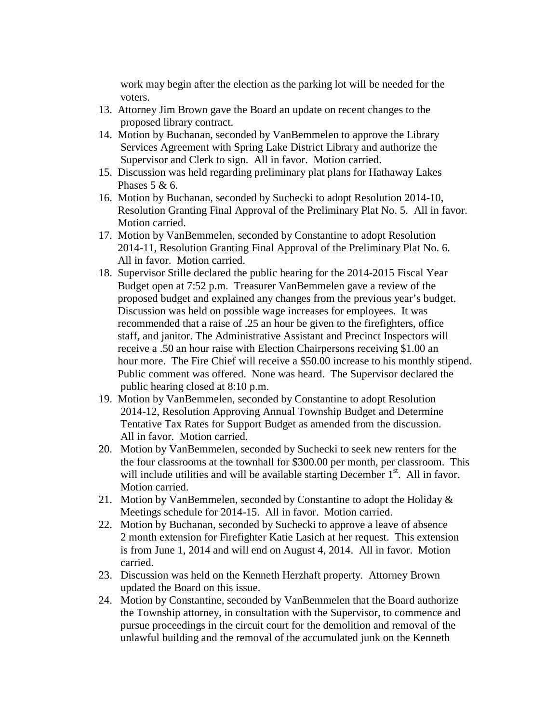work may begin after the election as the parking lot will be needed for the voters.

- 13. Attorney Jim Brown gave the Board an update on recent changes to the proposed library contract.
- 14. Motion by Buchanan, seconded by VanBemmelen to approve the Library Services Agreement with Spring Lake District Library and authorize the Supervisor and Clerk to sign. All in favor. Motion carried.
- 15. Discussion was held regarding preliminary plat plans for Hathaway Lakes Phases  $5 & 6$ .
- 16. Motion by Buchanan, seconded by Suchecki to adopt Resolution 2014-10, Resolution Granting Final Approval of the Preliminary Plat No. 5. All in favor. Motion carried.
- 17. Motion by VanBemmelen, seconded by Constantine to adopt Resolution 2014-11, Resolution Granting Final Approval of the Preliminary Plat No. 6. All in favor. Motion carried.
- 18. Supervisor Stille declared the public hearing for the 2014-2015 Fiscal Year Budget open at 7:52 p.m. Treasurer VanBemmelen gave a review of the proposed budget and explained any changes from the previous year's budget. Discussion was held on possible wage increases for employees. It was recommended that a raise of .25 an hour be given to the firefighters, office staff, and janitor. The Administrative Assistant and Precinct Inspectors will receive a .50 an hour raise with Election Chairpersons receiving \$1.00 an hour more. The Fire Chief will receive a \$50.00 increase to his monthly stipend. Public comment was offered. None was heard. The Supervisor declared the public hearing closed at 8:10 p.m.
- 19. Motion by VanBemmelen, seconded by Constantine to adopt Resolution 2014-12, Resolution Approving Annual Township Budget and Determine Tentative Tax Rates for Support Budget as amended from the discussion. All in favor. Motion carried.
- 20. Motion by VanBemmelen, seconded by Suchecki to seek new renters for the the four classrooms at the townhall for \$300.00 per month, per classroom. This will include utilities and will be available starting December  $1<sup>st</sup>$ . All in favor. Motion carried.
- 21. Motion by VanBemmelen, seconded by Constantine to adopt the Holiday  $\&$ Meetings schedule for 2014-15. All in favor. Motion carried.
- 22. Motion by Buchanan, seconded by Suchecki to approve a leave of absence 2 month extension for Firefighter Katie Lasich at her request. This extension is from June 1, 2014 and will end on August 4, 2014. All in favor. Motion carried.
- 23. Discussion was held on the Kenneth Herzhaft property. Attorney Brown updated the Board on this issue.
- 24. Motion by Constantine, seconded by VanBemmelen that the Board authorize the Township attorney, in consultation with the Supervisor, to commence and pursue proceedings in the circuit court for the demolition and removal of the unlawful building and the removal of the accumulated junk on the Kenneth